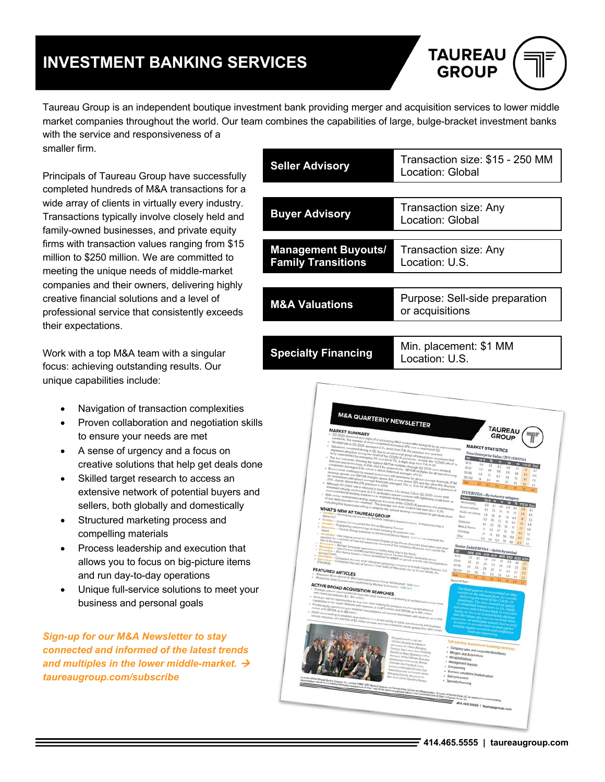# **INVESTMENT BANKING SERVICES**



Taureau Group is an independent boutique investment bank providing merger and acquisition services to lower middle market companies throughout the world. Our team combines the capabilities of large, bulge-bracket investment banks with the service and responsiveness of a

smaller firm.

Principals of Taureau Group have successfully completed hundreds of M&A transactions for a wide array of clients in virtually every industry. Transactions typically involve closely held and family-owned businesses, and private equity firms with transaction values ranging from \$15 million to \$250 million. We are committed to meeting the unique needs of middle-market companies and their owners, delivering highly creative financial solutions and a level of professional service that consistently exceeds their expectations.

Work with a top M&A team with a singular focus: achieving outstanding results. Our unique capabilities include:

- Navigation of transaction complexities
- Proven collaboration and negotiation skills to ensure your needs are met
- A sense of urgency and a focus on creative solutions that help get deals done
- Skilled target research to access an extensive network of potential buyers and sellers, both globally and domestically
- Structured marketing process and compelling materials
- Process leadership and execution that allows you to focus on big-picture items and run day-to-day operations
- Unique full-service solutions to meet your business and personal goals

*Sign-up for our M&A Newsletter to stay connected and informed of the latest trends*  and multiples in the lower middle-market.  $\rightarrow$ *taureaugroup.com/subscribe*

| <b>Seller Advisory</b>                                  | Transaction size: \$15 - 250 MM<br>Location: Global |
|---------------------------------------------------------|-----------------------------------------------------|
|                                                         |                                                     |
| <b>Buyer Advisory</b>                                   | Transaction size: Any<br>Location: Global           |
|                                                         |                                                     |
| <b>Management Buyouts/</b><br><b>Family Transitions</b> | Transaction size: Any<br>Location: U.S.             |
|                                                         |                                                     |
| <b>M&amp;A Valuations</b>                               | Purpose: Sell-side preparation<br>or acquisitions   |
|                                                         |                                                     |
| <b>Specialty Financing</b>                              | Min. placement: \$1 MM<br>$1 - 1$                   |

M&A QUARTERLY NEWSLETTER **ARKET SUMMARY** TAUREAU GROUP **MARKET STATISTICS**  $e$ *(TEV* W AT TAUREAU GROL FEATURED ARTICLES **ACTIVE BROAD ACQUISITION SEARCHES** 

Location: U.S.